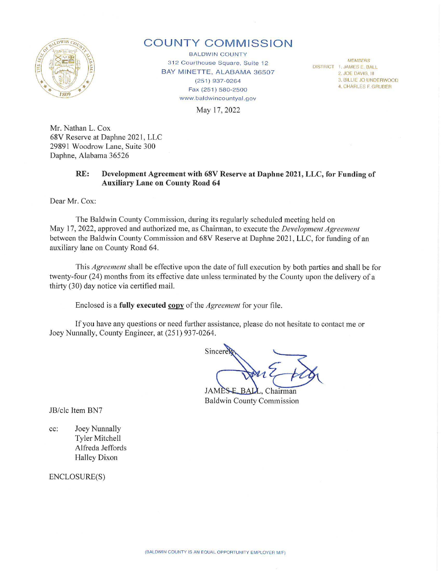

## **COUNTY COMMISSION**

**BALDWIN COUNTY** 312 Courthouse Square, Suite 12 BAY MINETTE, ALABAMA 36507 (251) 937-0264 Fax (251) 580-2500 www.baldwincountyal.gov

**MEMBERS** DISTRICT 1. JAMES E. BALL 2. JOE DAVIS, III 3. BILLIE JO UNDERWOOD 4. CHARLES F. GRUBER

May 17, 2022

Mr. Nathan L. Cox 68V Reserve at Daphne 2021, LLC 29891 Woodrow Lane, Suite 300 Daphne, Alabama 36526

## **RE: Development Agreement with 68V Reserve at Daphne 2021, LLC, for Funding of Auxiliary Lane on County Road 64**

Dear Mr. Cox:

The Baldwin County Commission, during its regularly scheduled meeting held on May 17, 2022, approved and authorized me, as Chairman, to execute the *Development Agreement*  between the Baldwin County Commission and 68V Reserve at Daphne 2021, LLC, for funding of an auxiliary lane on County Road 64.

This *Agreement* shall be effective upon the date of full execution by both patties and shall be for twenty-four (24) months from its effective date unless terminated by the County upon the delivery of a thirty (30) day notice via certified mail.

Enclosed is a **fully executed copy** of the *Agreement* for your file.

If you have any questions or need further assistance, please do not hesitate to contact me or Joey Nunnally, County Engineer, at (251) 937-0264.

Sincere

**JAMESE** L. Chairman Baldwin County Commission

JB/clc Item BN7

cc: Joey Nunnally Tyler Mitchell Alfreda Jeffords Halley Dixon

ENCLOSURE(S)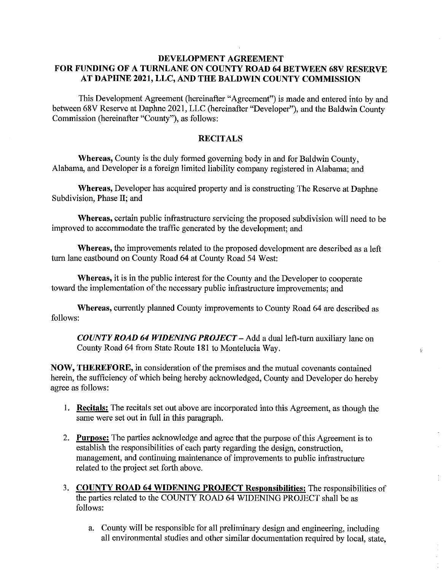## **DEVELOPMENT AGREEMENT FOR FUNDING OF A TURNLANE ON COUNTY ROAD 64 BETWEEN 68V RESERVE AT DAPHNE 2021, LLC, AND THE BALDWIN COUNTY COMMISSION**

This Development Agreement (hereinafter "Agreement") is made and entered into by and between 68V Reserve at Daphne 2021, LLC (hereinafter "Developer"), and the Baldwin County Commission (hereinafter "County"), as follows:

## **RECITALS**

**Whereas,** County is the duly formed governing body in and for Baldwin County, Alabama, and Developer is a foreign limited liability company registered in Alabama; and

**Whereas,** Developer has acquired property and is constructing The Reserve at Daphne Subdivision, Phase II; and

**Whereas,** certain public infrastructure servicing the proposed subdivision will need to be improved to accommodate the traffic generated by the development; and

**Whereas,** the improvements related to the proposed development are described as a left turn lane eastbound on County Road 64 at County Road 54 West:

**Whereas,** it is in the public interest for the County and the Developer to cooperate toward the implementation of the necessary public infrastructure improvements; and

**Whereas,** currently planned County improvements to County Road 64 are described as follows:

*COUNTY ROAD 64 WIDENING PROJECT* - Add a dual left-turn auxiliary lane on County Road 64 from State Route 181 to Montelucia Way.

ý.

**NOW, THEREFORE,** in consideration of the premises and the mutual covenants contained herein, the sufficiency of which being hereby acknowledged, County and Developer do hereby agree as follows:

- I. **Recitals:** The recitals set out above are incorporated into this Agreement, as though the same were set out in full in this paragraph.
- 2. **Purpose:** The parties acknowledge and agree that the purpose of this Agreement is to establish the responsibilities of each party regarding the design, construction, management, and continuing maintenance of improvements to public infrastructure related to the project set forth above.
- 3. **COUNTY ROAD 64 WIDENING PROJECT Responsibilities:** The responsibilities of the parties related to the COUNTY ROAD 64 WIDENING PROJECT shall be as follows:
	- a. County will be responsible for all preliminary design and engineering, including all environmental studies and other similar documentation required by local, state,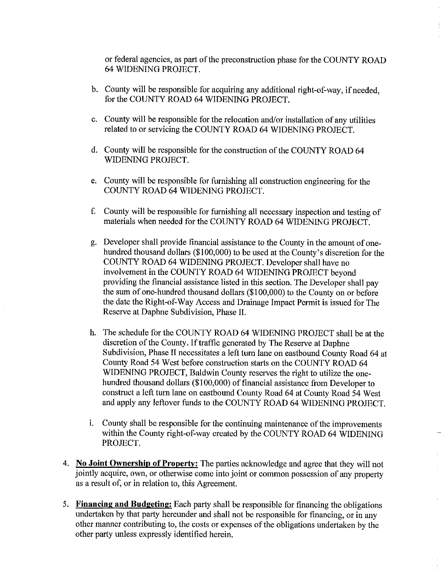or federal agencies, as part of the preconstruction phase for the COUNTY ROAD 64 WIDENING PROJECT.

- b. County will be responsible for acquiring any additional right-of-way, if needed, for the COUNTY ROAD 64 WIDENING PROJECT.
- c. County will be responsible for the relocation and/or installation of any utilities related to or servicing the COUNTY ROAD 64 WIDENING PROJECT.
- d. County will be responsible for the construction of the COUNTY ROAD 64 WIDENING PROJECT.
- e. County will be responsible for furnishing all construction engineering for the COUNTY ROAD 64 WIDENING PROJECT.
- f. County will be responsible for furnishing all necessary inspection and testing of materials when needed for the COUNTY ROAD 64 WIDENING PROJECT.
- g. Developer shall provide financial assistance to the County in the amount of onehundred thousand dollars (\$100,000) to be used at the County's discretion for the COUNTY ROAD 64 WIDENING PROJECT. Developer shall have no involvement in the COUNTY ROAD 64 WIDENING PROJECT beyond providing the financial assistance listed in this section. The Developer shall pay the sum of one-hundred thousand dollars (\$100,000) to the County on or before the date the Right-of-Way Access and Drainage Impact Permit is issued for The Reserve at Daphne Subdivision, Phase II.
- h. The schedule for the COUNTY ROAD 64 WIDENING PROJECT shall be at the discretion of the County. If traffic generated by The Reserve at Daphne Subdivision, Phase II necessitates a left turn lane on eastbound County Road 64 at County Road 54 West before construction starts on the COUNTY ROAD 64 WIDENING PROJECT, Baldwin County reserves the right to utilize the onehundred thousand dollars (\$100,000) of financial assistance from Developer to construct a left turn lane on eastbound County Road 64 at County Road 54 West and apply any leftover funds to the COUNTY ROAD 64 WIDENING PROJECT.
- i. County shall be responsible for the continuing maintenance of the improvements within the County right-of-way created by the COUNTY ROAD 64 WIDENING PROJECT.
- 4. **No Joint Ownership of Property:** The parties acknowledge and agree that they will not jointly acquire, own, or otherwise come into joint or common possession of any property as a result of, or in relation to, this Agreement.
- 5. **Financing and Budgeting:** Each party shall be responsible for financing the obligations undertaken by that party hereunder and shall not be responsible for financing, or in any other manner contributing to, the costs or expenses of the obligations undertaken by the other party unless expressly identified herein.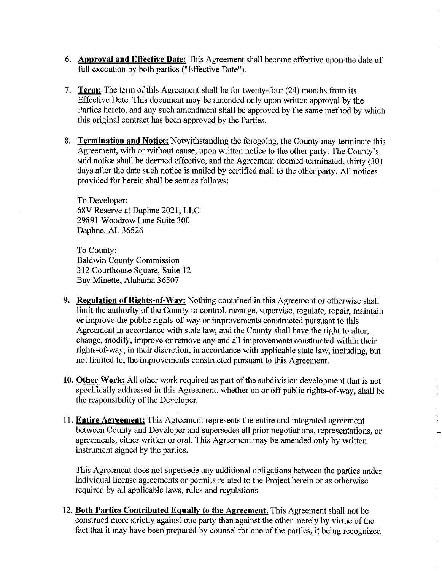- 6. **Approval and Effective Date:** This Agreement shall become effective upon the date of full execution by both parties ("Effective Date").
- 7. **Term:** The term of this Agreement shall be for twenty-four (24) months from its Effective Date. This document may be amended only upon written approval by the Parties hereto, and any such amendment shall be approved by the same method by which this original contract has been approved by the Parties.
- 8. **Termination and Notice:** Notwithstanding the foregoing, the County may terminate this Agreement, with or without cause, upon written notice to the other party. The County's said notice shall be deemed effective, and the Agreement deemed terminated, thirty (30) days after the date such notice is mailed by certified mail to the other party. All notices provided for herein shall be sent as follows:

To Developer: 68V Reserve at Daphne 2021, LLC 29891 Woodrow Lane Suite 300 Daphne, AL 36526

To County: Baldwin County Commission 312 Courthouse Square, Suite 12 Bay Minette, Alabama 36507

- **9. Regulation of Rights-of-Way:** Nothing contained in this Agreement or otherwise shall limit the authority of the County to control, manage, supervise, regulate, repair, maintain or improve the public rights-of-way or improvements constructed pursuant to this Agreement in accordance with state law, and the County shall have the right to alter, change, modify, improve or remove any and all improvements constructed within their rights-of-way, in their discretion, in accordance with applicable state law, including, but not limited to, the improvements constructed pursuant to this Agreement.
- **10. Other Work:** All other work required as part of the subdivision development that is not specifically addressed in this Agreement, whether on or off public rights-of-way, shall be the responsibility of the Developer.
- 11. **Entire Agreement:** This Agreement represents the entire and integrated agreement between County and Developer and supersedes all prior negotiations, representations, or agreements, either written or oral. This Agreement may be amended only by written instrument signed by the parties.

This Agreement does not supersede any additional obligations between the parties under individual license agreements or permits related to the Project herein or as otherwise required by all applicable laws, rules and regulations.

12. **Both Parties Contributed Equally to the Agreement.** This Agreement shall not be construed more strictly against one party than against the other merely by virtue of the fact that it may have been prepared by counsel for one of the parties, it being recognized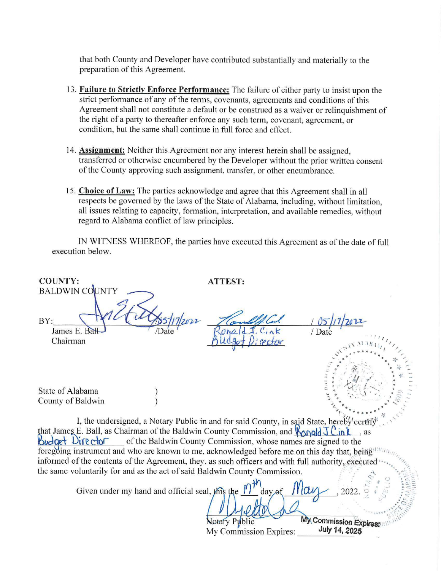that both County and Developer have contributed substantially and materially to the preparation of this Agreement.

- 13. Failure to Strictly Enforce Performance: The failure of either party to insist upon the strict performance of any of the terms, covenants, agreements and conditions of this Agreement shall not constitute a default or be construed as a waiver or relinquishment of the right of a party to thereafter enforce any such term, covenant, agreement, or condition, but the same shall continue in full force and effect.
- 14. Assignment: Neither this Agreement nor any interest herein shall be assigned. transferred or otherwise encumbered by the Developer without the prior written consent of the County approving such assignment, transfer, or other encumbrance.
- 15. Choice of Law: The parties acknowledge and agree that this Agreement shall in all respects be governed by the laws of the State of Alabama, including, without limitation, all issues relating to capacity, formation, interpretation, and available remedies, without regard to Alabama conflict of law principles.

IN WITNESS WHEREOF, the parties have executed this Agreement as of the date of full execution below.

| <b>COUNTY:</b><br><b>BALDWIN COUNTY</b>                                                                                                                                                                                           |                                                               | <b>ATTEST:</b>                                                                                                                                                                    |                                         |
|-----------------------------------------------------------------------------------------------------------------------------------------------------------------------------------------------------------------------------------|---------------------------------------------------------------|-----------------------------------------------------------------------------------------------------------------------------------------------------------------------------------|-----------------------------------------|
| BY:<br>James E. Bal<br>Chairman                                                                                                                                                                                                   |                                                               |                                                                                                                                                                                   | / Date                                  |
| State of Alabama<br>County of Baldwin                                                                                                                                                                                             |                                                               |                                                                                                                                                                                   |                                         |
| I, the undersigned, a Notary Public in and for said County, in said State, hereby certify<br>that James E. Ball, as Chairman of the Baldwin County Commission, and $\sqrt{\text{Nold}} \text{U} \text{in} \text{U}$<br>$\cdot$ as |                                                               |                                                                                                                                                                                   |                                         |
| Budget Director                                                                                                                                                                                                                   |                                                               | of the Baldwin County Commission, whose names are signed to the<br>foregoing instrument and who are known to me, acknowledged before me on this day that, being                   |                                         |
|                                                                                                                                                                                                                                   |                                                               | informed of the contents of the Agreement, they, as such officers and with full authority, executed<br>the same voluntarily for and as the act of said Baldwin County Commission. |                                         |
|                                                                                                                                                                                                                                   | Given under my hand and official seal, this the $\  \cdot \ $ | day of                                                                                                                                                                            |                                         |
|                                                                                                                                                                                                                                   |                                                               | Notary Public<br>My Commission Expires:                                                                                                                                           | My Commission Expires:<br>July 14, 2025 |